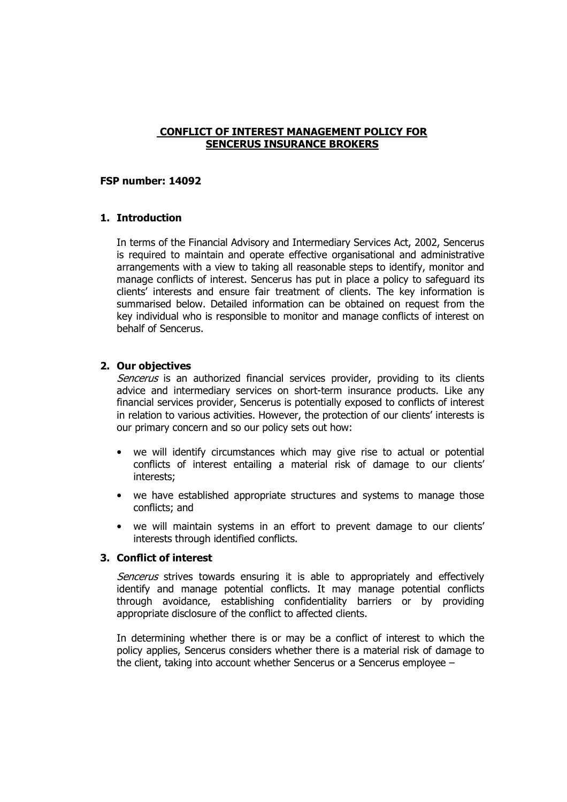## CONFLICT OF INTEREST MANAGEMENT POLICY FOR SENCERUS INSURANCE BROKERS

### FSP number: 14092

## 1. Introduction

In terms of the Financial Advisory and Intermediary Services Act, 2002, Sencerus is required to maintain and operate effective organisational and administrative arrangements with a view to taking all reasonable steps to identify, monitor and manage conflicts of interest. Sencerus has put in place a policy to safeguard its clients' interests and ensure fair treatment of clients. The key information is summarised below. Detailed information can be obtained on request from the key individual who is responsible to monitor and manage conflicts of interest on behalf of Sencerus.

# 2. Our objectives

Sencerus is an authorized financial services provider, providing to its clients advice and intermediary services on short-term insurance products. Like any financial services provider, Sencerus is potentially exposed to conflicts of interest in relation to various activities. However, the protection of our clients' interests is our primary concern and so our policy sets out how:

- we will identify circumstances which may give rise to actual or potential conflicts of interest entailing a material risk of damage to our clients' interests;
- we have established appropriate structures and systems to manage those conflicts; and
- we will maintain systems in an effort to prevent damage to our clients' interests through identified conflicts.

## 3. Conflict of interest

Sencerus strives towards ensuring it is able to appropriately and effectively identify and manage potential conflicts. It may manage potential conflicts through avoidance, establishing confidentiality barriers or by providing appropriate disclosure of the conflict to affected clients.

In determining whether there is or may be a conflict of interest to which the policy applies, Sencerus considers whether there is a material risk of damage to the client, taking into account whether Sencerus or a Sencerus employee –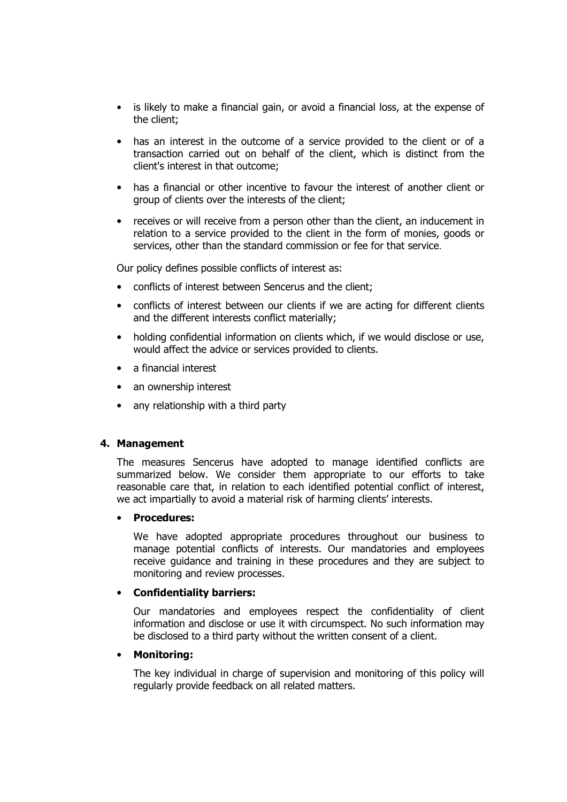- is likely to make a financial gain, or avoid a financial loss, at the expense of the client;
- has an interest in the outcome of a service provided to the client or of a transaction carried out on behalf of the client, which is distinct from the client's interest in that outcome;
- has a financial or other incentive to favour the interest of another client or group of clients over the interests of the client;
- receives or will receive from a person other than the client, an inducement in relation to a service provided to the client in the form of monies, goods or services, other than the standard commission or fee for that service.

Our policy defines possible conflicts of interest as:

- conflicts of interest between Sencerus and the client;
- conflicts of interest between our clients if we are acting for different clients and the different interests conflict materially;
- holding confidential information on clients which, if we would disclose or use, would affect the advice or services provided to clients.
- a financial interest
- an ownership interest
- any relationship with a third party

### 4. Management

The measures Sencerus have adopted to manage identified conflicts are summarized below. We consider them appropriate to our efforts to take reasonable care that, in relation to each identified potential conflict of interest, we act impartially to avoid a material risk of harming clients' interests.

#### • Procedures:

We have adopted appropriate procedures throughout our business to manage potential conflicts of interests. Our mandatories and employees receive guidance and training in these procedures and they are subject to monitoring and review processes.

### • Confidentiality barriers:

Our mandatories and employees respect the confidentiality of client information and disclose or use it with circumspect. No such information may be disclosed to a third party without the written consent of a client.

### • Monitoring:

The key individual in charge of supervision and monitoring of this policy will regularly provide feedback on all related matters.